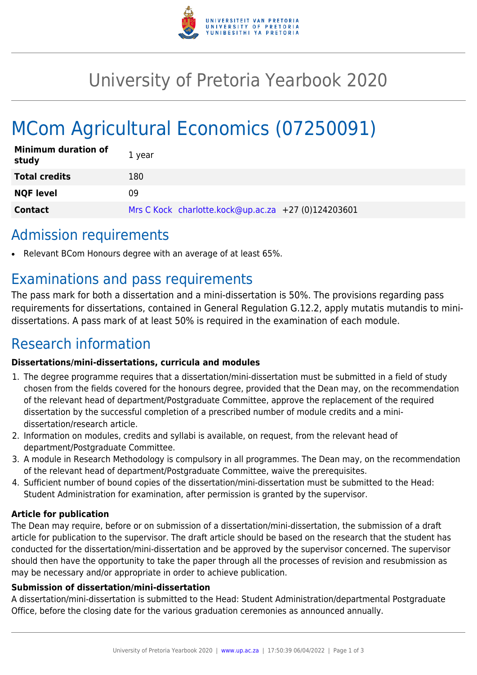

## University of Pretoria Yearbook 2020

# MCom Agricultural Economics (07250091)

| <b>Minimum duration of</b><br>study | 1 year                                              |
|-------------------------------------|-----------------------------------------------------|
| <b>Total credits</b>                | 180                                                 |
| <b>NQF level</b>                    | 09                                                  |
| <b>Contact</b>                      | Mrs C Kock charlotte.kock@up.ac.za +27 (0)124203601 |

### Admission requirements

Relevant BCom Honours degree with an average of at least 65%.

### Examinations and pass requirements

The pass mark for both a dissertation and a mini-dissertation is 50%. The provisions regarding pass requirements for dissertations, contained in General Regulation G.12.2, apply mutatis mutandis to minidissertations. A pass mark of at least 50% is required in the examination of each module.

### Research information

#### **Dissertations/mini-dissertations, curricula and modules**

- 1. The degree programme requires that a dissertation/mini-dissertation must be submitted in a field of study chosen from the fields covered for the honours degree, provided that the Dean may, on the recommendation of the relevant head of department/Postgraduate Committee, approve the replacement of the required dissertation by the successful completion of a prescribed number of module credits and a minidissertation/research article.
- 2. Information on modules, credits and syllabi is available, on request, from the relevant head of department/Postgraduate Committee.
- 3. A module in Research Methodology is compulsory in all programmes. The Dean may, on the recommendation of the relevant head of department/Postgraduate Committee, waive the prerequisites.
- 4. Sufficient number of bound copies of the dissertation/mini-dissertation must be submitted to the Head: Student Administration for examination, after permission is granted by the supervisor.

#### **Article for publication**

The Dean may require, before or on submission of a dissertation/mini-dissertation, the submission of a draft article for publication to the supervisor. The draft article should be based on the research that the student has conducted for the dissertation/mini-dissertation and be approved by the supervisor concerned. The supervisor should then have the opportunity to take the paper through all the processes of revision and resubmission as may be necessary and/or appropriate in order to achieve publication.

#### **Submission of dissertation/mini-dissertation**

A dissertation/mini-dissertation is submitted to the Head: Student Administration/departmental Postgraduate Office, before the closing date for the various graduation ceremonies as announced annually.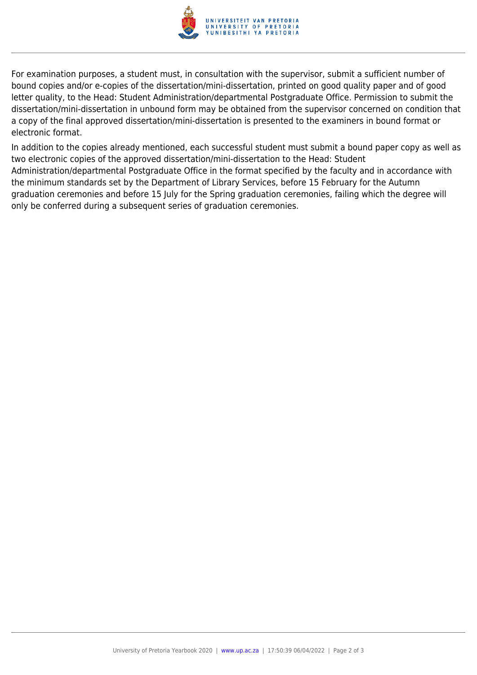

For examination purposes, a student must, in consultation with the supervisor, submit a sufficient number of bound copies and/or e-copies of the dissertation/mini-dissertation, printed on good quality paper and of good letter quality, to the Head: Student Administration/departmental Postgraduate Office. Permission to submit the dissertation/mini-dissertation in unbound form may be obtained from the supervisor concerned on condition that a copy of the final approved dissertation/mini-dissertation is presented to the examiners in bound format or electronic format.

In addition to the copies already mentioned, each successful student must submit a bound paper copy as well as two electronic copies of the approved dissertation/mini-dissertation to the Head: Student Administration/departmental Postgraduate Office in the format specified by the faculty and in accordance with the minimum standards set by the Department of Library Services, before 15 February for the Autumn graduation ceremonies and before 15 July for the Spring graduation ceremonies, failing which the degree will only be conferred during a subsequent series of graduation ceremonies.